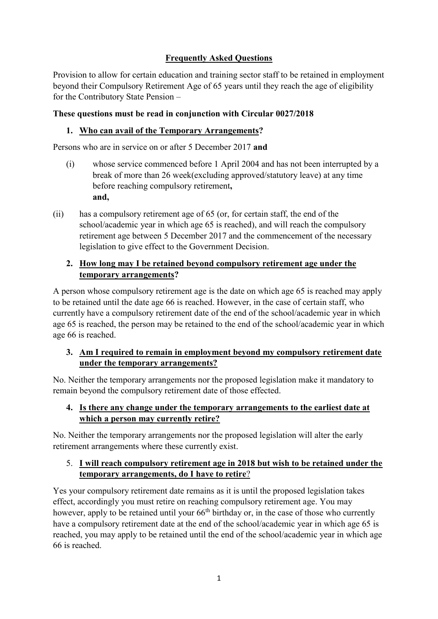# **Frequently Asked Questions**

Provision to allow for certain education and training sector staff to be retained in employment beyond their Compulsory Retirement Age of 65 years until they reach the age of eligibility for the Contributory State Pension –

## **These questions must be read in conjunction with Circular 0027/2018**

## **1. Who can avail of the Temporary Arrangements?**

Persons who are in service on or after 5 December 2017 **and**

- (i) whose service commenced before 1 April 2004 and has not been interrupted by a break of more than 26 week(excluding approved/statutory leave) at any time before reaching compulsory retirement**, and,**
- (ii) has a compulsory retirement age of 65 (or, for certain staff, the end of the school/academic year in which age 65 is reached), and will reach the compulsory retirement age between 5 December 2017 and the commencement of the necessary legislation to give effect to the Government Decision.

## **2. How long may I be retained beyond compulsory retirement age under the temporary arrangements?**

A person whose compulsory retirement age is the date on which age 65 is reached may apply to be retained until the date age 66 is reached. However, in the case of certain staff, who currently have a compulsory retirement date of the end of the school/academic year in which age 65 is reached, the person may be retained to the end of the school/academic year in which age 66 is reached.

# **3. Am I required to remain in employment beyond my compulsory retirement date under the temporary arrangements?**

No. Neither the temporary arrangements nor the proposed legislation make it mandatory to remain beyond the compulsory retirement date of those effected.

### **4. Is there any change under the temporary arrangements to the earliest date at which a person may currently retire?**

No. Neither the temporary arrangements nor the proposed legislation will alter the early retirement arrangements where these currently exist.

### 5. **I will reach compulsory retirement age in 2018 but wish to be retained under the temporary arrangements, do I have to retire**?

Yes your compulsory retirement date remains as it is until the proposed legislation takes effect, accordingly you must retire on reaching compulsory retirement age. You may however, apply to be retained until your 66<sup>th</sup> birthday or, in the case of those who currently have a compulsory retirement date at the end of the school/academic year in which age 65 is reached, you may apply to be retained until the end of the school/academic year in which age 66 is reached.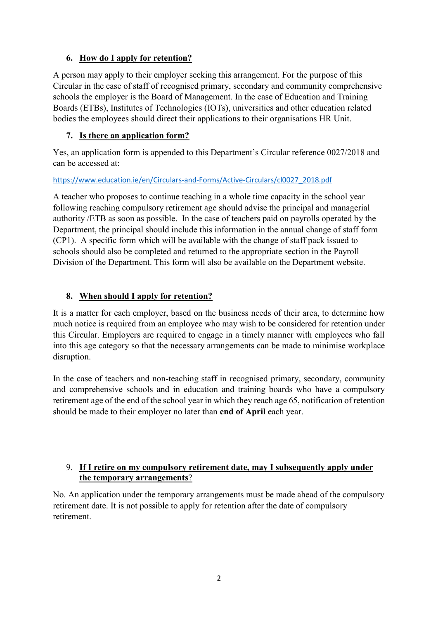## **6. How do I apply for retention?**

A person may apply to their employer seeking this arrangement. For the purpose of this Circular in the case of staff of recognised primary, secondary and community comprehensive schools the employer is the Board of Management. In the case of Education and Training Boards (ETBs), Institutes of Technologies (IOTs), universities and other education related bodies the employees should direct their applications to their organisations HR Unit.

# **7. Is there an application form?**

Yes, an application form is appended to this Department's Circular reference 0027/2018 and can be accessed at:

#### [https://www.education.ie/en/Circulars-and-Forms/Active-Circulars/cl0027\\_2018.pdf](https://www.education.ie/en/Circulars-and-Forms/Active-Circulars/cl0027_2018.pdf)

A teacher who proposes to continue teaching in a whole time capacity in the school year following reaching compulsory retirement age should advise the principal and managerial authority /ETB as soon as possible. In the case of teachers paid on payrolls operated by the Department, the principal should include this information in the annual change of staff form (CP1). A specific form which will be available with the change of staff pack issued to schools should also be completed and returned to the appropriate section in the Payroll Division of the Department. This form will also be available on the Department website.

# **8. When should I apply for retention?**

It is a matter for each employer, based on the business needs of their area, to determine how much notice is required from an employee who may wish to be considered for retention under this Circular. Employers are required to engage in a timely manner with employees who fall into this age category so that the necessary arrangements can be made to minimise workplace disruption.

In the case of teachers and non-teaching staff in recognised primary, secondary, community and comprehensive schools and in education and training boards who have a compulsory retirement age of the end of the school year in which they reach age 65, notification of retention should be made to their employer no later than **end of April** each year.

# 9. **If I retire on my compulsory retirement date, may I subsequently apply under the temporary arrangements**?

No. An application under the temporary arrangements must be made ahead of the compulsory retirement date. It is not possible to apply for retention after the date of compulsory retirement.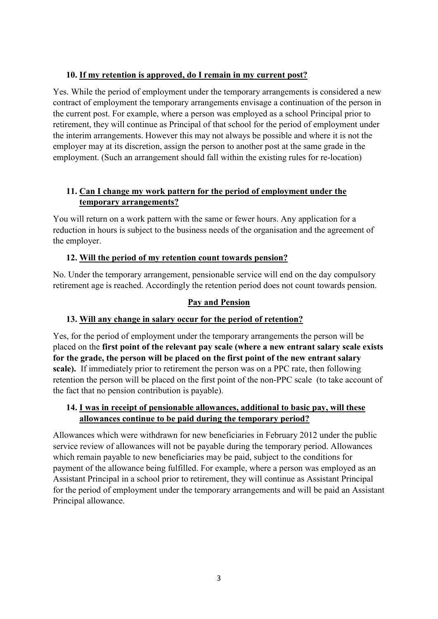# **10. If my retention is approved, do I remain in my current post?**

Yes. While the period of employment under the temporary arrangements is considered a new contract of employment the temporary arrangements envisage a continuation of the person in the current post. For example, where a person was employed as a school Principal prior to retirement, they will continue as Principal of that school for the period of employment under the interim arrangements. However this may not always be possible and where it is not the employer may at its discretion, assign the person to another post at the same grade in the employment. (Such an arrangement should fall within the existing rules for re-location)

# **11. Can I change my work pattern for the period of employment under the temporary arrangements?**

You will return on a work pattern with the same or fewer hours. Any application for a reduction in hours is subject to the business needs of the organisation and the agreement of the employer.

### **12. Will the period of my retention count towards pension?**

No. Under the temporary arrangement, pensionable service will end on the day compulsory retirement age is reached. Accordingly the retention period does not count towards pension.

# **Pay and Pension**

# **13. Will any change in salary occur for the period of retention?**

Yes, for the period of employment under the temporary arrangements the person will be placed on the **first point of the relevant pay scale (where a new entrant salary scale exists for the grade, the person will be placed on the first point of the new entrant salary scale).** If immediately prior to retirement the person was on a PPC rate, then following retention the person will be placed on the first point of the non-PPC scale (to take account of the fact that no pension contribution is payable).

#### **14. I was in receipt of pensionable allowances, additional to basic pay, will these allowances continue to be paid during the temporary period?**

Allowances which were withdrawn for new beneficiaries in February 2012 under the public service review of allowances will not be payable during the temporary period. Allowances which remain payable to new beneficiaries may be paid, subject to the conditions for payment of the allowance being fulfilled. For example, where a person was employed as an Assistant Principal in a school prior to retirement, they will continue as Assistant Principal for the period of employment under the temporary arrangements and will be paid an Assistant Principal allowance.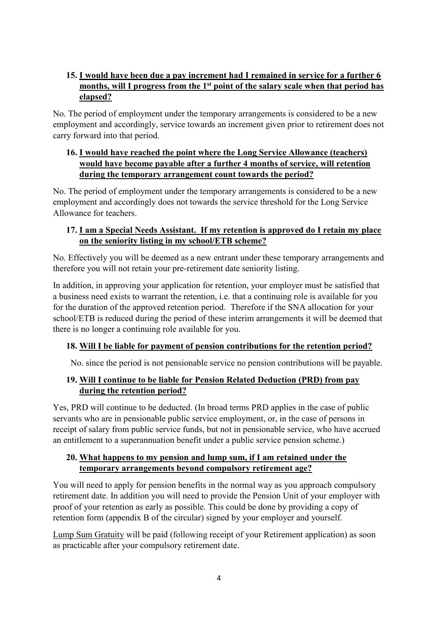# **15. I would have been due a pay increment had I remained in service for a further 6 months, will I progress from the 1st point of the salary scale when that period has elapsed?**

No. The period of employment under the temporary arrangements is considered to be a new employment and accordingly, service towards an increment given prior to retirement does not carry forward into that period.

# **16. I would have reached the point where the Long Service Allowance (teachers) would have become payable after a further 4 months of service, will retention during the temporary arrangement count towards the period?**

No. The period of employment under the temporary arrangements is considered to be a new employment and accordingly does not towards the service threshold for the Long Service Allowance for teachers.

# **17. I am a Special Needs Assistant. If my retention is approved do I retain my place on the seniority listing in my school/ETB scheme?**

No. Effectively you will be deemed as a new entrant under these temporary arrangements and therefore you will not retain your pre-retirement date seniority listing.

In addition, in approving your application for retention, your employer must be satisfied that a business need exists to warrant the retention, i.e. that a continuing role is available for you for the duration of the approved retention period. Therefore if the SNA allocation for your school/ETB is reduced during the period of these interim arrangements it will be deemed that there is no longer a continuing role available for you.

# **18. Will I be liable for payment of pension contributions for the retention period?**

No. since the period is not pensionable service no pension contributions will be payable.

# **19. Will I continue to be liable for Pension Related Deduction (PRD) from pay during the retention period?**

Yes, PRD will continue to be deducted. (In broad terms PRD applies in the case of public servants who are in pensionable public service employment, or, in the case of persons in receipt of salary from public service funds, but not in pensionable service, who have accrued an entitlement to a superannuation benefit under a public service pension scheme.)

# **20. What happens to my pension and lump sum, if I am retained under the temporary arrangements beyond compulsory retirement age?**

You will need to apply for pension benefits in the normal way as you approach compulsory retirement date. In addition you will need to provide the Pension Unit of your employer with proof of your retention as early as possible. This could be done by providing a copy of retention form (appendix B of the circular) signed by your employer and yourself.

Lump Sum Gratuity will be paid (following receipt of your Retirement application) as soon as practicable after your compulsory retirement date.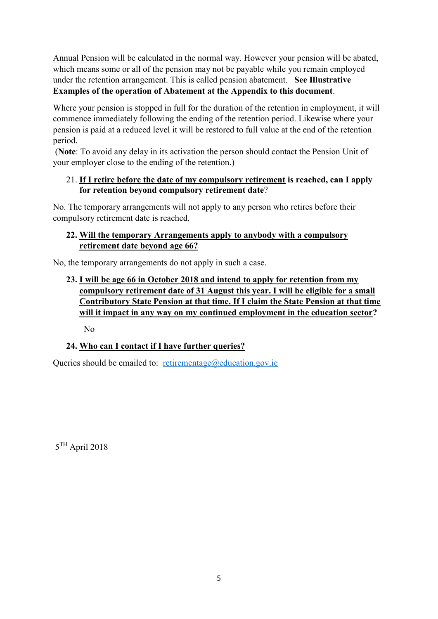Annual Pension will be calculated in the normal way. However your pension will be abated, which means some or all of the pension may not be payable while you remain employed under the retention arrangement. This is called pension abatement. **See Illustrative Examples of the operation of Abatement at the Appendix to this document**.

Where your pension is stopped in full for the duration of the retention in employment, it will commence immediately following the ending of the retention period. Likewise where your pension is paid at a reduced level it will be restored to full value at the end of the retention period.

(**Note**: To avoid any delay in its activation the person should contact the Pension Unit of your employer close to the ending of the retention.)

### 21. **If I retire before the date of my compulsory retirement is reached, can I apply for retention beyond compulsory retirement date**?

No. The temporary arrangements will not apply to any person who retires before their compulsory retirement date is reached.

## **22. Will the temporary Arrangements apply to anybody with a compulsory retirement date beyond age 66?**

No, the temporary arrangements do not apply in such a case.

# **23. I will be age 66 in October 2018 and intend to apply for retention from my compulsory retirement date of 31 August this year. I will be eligible for a small Contributory State Pension at that time. If I claim the State Pension at that time will it impact in any way on my continued employment in the education sector?**

No

# **24. Who can I contact if I have further queries?**

Queries should be emailed to: [retirementage@education.gov.ie](mailto:retirementage@education.gov.ie)

5 TH April 2018